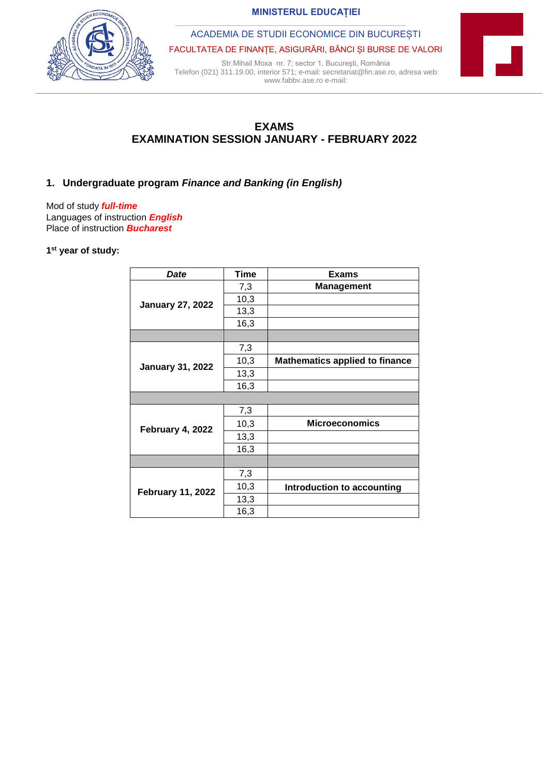**MINISTERUL EDUCAȚIEI** 

ACADEMIA DE STUDII ECONOMICE DIN BUCUREȘTI

FACULTATEA DE FINANȚE, ASIGURĂRI, BĂNCI ȘI BURSE DE VALORI

Str.Mihail Moxa nr. 7; sector 1, Bucureşti, România Telefon (021) 311.19.00, interior 571; e-mail: secretariat@fin.ase.ro, adresa web: www.fabbv.ase.ro e-mail:



**EXAMS EXAMINATION SESSION JANUARY - FEBRUARY 2022**

## **1. Undergraduate program** *Finance and Banking (in English)*

Mod of study *full-time* Languages of instruction *English* Place of instruction *Bucharest*

## **1 st year of study:**

| Date                     | <b>Time</b> | <b>Exams</b>                          |
|--------------------------|-------------|---------------------------------------|
| <b>January 27, 2022</b>  | 7,3         | <b>Management</b>                     |
|                          | 10,3        |                                       |
|                          | 13,3        |                                       |
|                          | 16,3        |                                       |
|                          |             |                                       |
| <b>January 31, 2022</b>  | 7,3         |                                       |
|                          | 10,3        | <b>Mathematics applied to finance</b> |
|                          | 13,3        |                                       |
|                          | 16,3        |                                       |
|                          |             |                                       |
| February 4, 2022         | 7,3         |                                       |
|                          | 10,3        | <b>Microeconomics</b>                 |
|                          | 13,3        |                                       |
|                          | 16,3        |                                       |
|                          |             |                                       |
| <b>February 11, 2022</b> | 7,3         |                                       |
|                          | 10,3        | Introduction to accounting            |
|                          | 13,3        |                                       |
|                          | 16,3        |                                       |

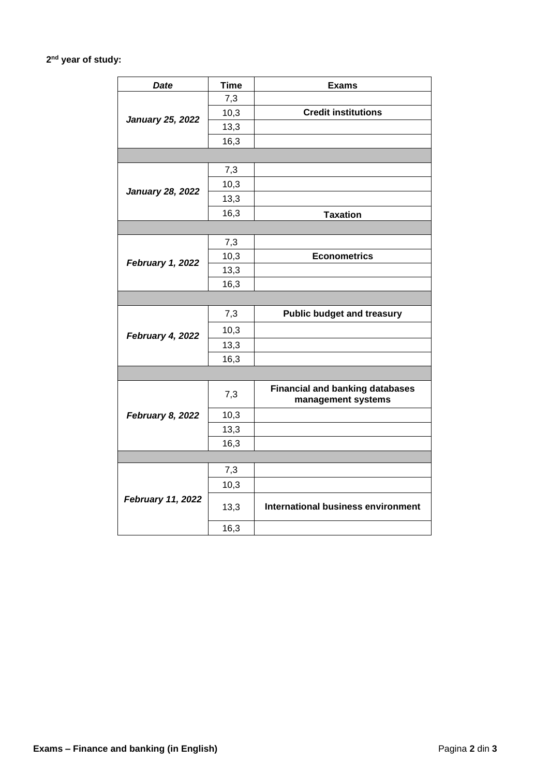## **2 nd year of study:**

| <b>Date</b>             | <b>Time</b> | <b>Exams</b>                                                 |  |  |
|-------------------------|-------------|--------------------------------------------------------------|--|--|
| <b>January 25, 2022</b> | 7,3         |                                                              |  |  |
|                         | 10,3        | <b>Credit institutions</b>                                   |  |  |
|                         | 13,3        |                                                              |  |  |
|                         | 16,3        |                                                              |  |  |
|                         |             |                                                              |  |  |
| <b>January 28, 2022</b> | 7,3         |                                                              |  |  |
|                         | 10,3        |                                                              |  |  |
|                         | 13,3        |                                                              |  |  |
|                         | 16,3        | <b>Taxation</b>                                              |  |  |
|                         |             |                                                              |  |  |
| February 1, 2022        | 7,3         |                                                              |  |  |
|                         | 10,3        | <b>Econometrics</b>                                          |  |  |
|                         | 13,3        |                                                              |  |  |
|                         | 16,3        |                                                              |  |  |
|                         |             |                                                              |  |  |
| February 4, 2022        | 7,3         | <b>Public budget and treasury</b>                            |  |  |
|                         | 10,3        |                                                              |  |  |
|                         | 13,3        |                                                              |  |  |
|                         | 16,3        |                                                              |  |  |
|                         |             |                                                              |  |  |
| February 8, 2022        | 7,3         | <b>Financial and banking databases</b><br>management systems |  |  |
|                         | 10,3        |                                                              |  |  |
|                         | 13,3        |                                                              |  |  |
|                         | 16,3        |                                                              |  |  |
|                         |             |                                                              |  |  |
| February 11, 2022       | 7,3         |                                                              |  |  |
|                         | 10,3        |                                                              |  |  |
|                         | 13,3        | <b>International business environment</b>                    |  |  |
|                         | 16,3        |                                                              |  |  |